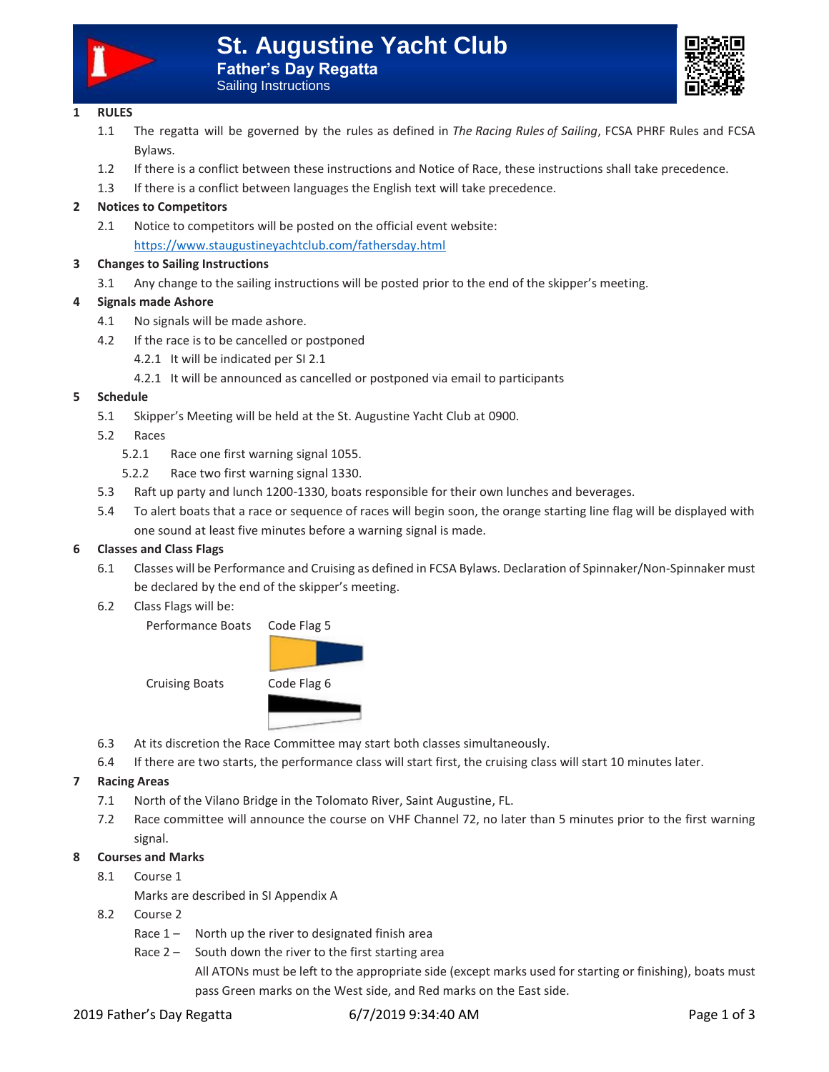



## **1 RULES**

- 1.1 The regatta will be governed by the rules as defined in *The Racing Rules of Sailing*, FCSA PHRF Rules and FCSA Bylaws.
- 1.2 If there is a conflict between these instructions and Notice of Race, these instructions shall take precedence.
- 1.3 If there is a conflict between languages the English text will take precedence.

# **2 Notices to Competitors**

2.1 Notice to competitors will be posted on the official event website: <https://www.staugustineyachtclub.com/fathersday.html>

# **3 Changes to Sailing Instructions**

3.1 Any change to the sailing instructions will be posted prior to the end of the skipper's meeting.

# **4 Signals made Ashore**

- 4.1 No signals will be made ashore.
- 4.2 If the race is to be cancelled or postponed
	- 4.2.1 It will be indicated per SI 2.1
	- 4.2.1 It will be announced as cancelled or postponed via email to participants

## **5 Schedule**

- 5.1 Skipper's Meeting will be held at the St. Augustine Yacht Club at 0900.
- 5.2 Races
	- 5.2.1 Race one first warning signal 1055.
	- 5.2.2 Race two first warning signal 1330.
- 5.3 Raft up party and lunch 1200-1330, boats responsible for their own lunches and beverages.
- 5.4 To alert boats that a race or sequence of races will begin soon, the orange starting line flag will be displayed with one sound at least five minutes before a warning signal is made.

## **6 Classes and Class Flags**

- 6.1 Classes will be Performance and Cruising as defined in FCSA Bylaws. Declaration of Spinnaker/Non-Spinnaker must be declared by the end of the skipper's meeting.
- 6.2 Class Flags will be:

Performance Boats Code Flag 5



- 6.3 At its discretion the Race Committee may start both classes simultaneously.
- 6.4 If there are two starts, the performance class will start first, the cruising class will start 10 minutes later.

## **7 Racing Areas**

- 7.1 North of the Vilano Bridge in the Tolomato River, Saint Augustine, FL.
- 7.2 Race committee will announce the course on VHF Channel 72, no later than 5 minutes prior to the first warning signal.

## **8 Courses and Marks**

8.1 Course 1

Marks are described in SI Appendix A

- 8.2 Course 2
	- Race  $1 -$  North up the river to designated finish area
	- Race  $2 -$  South down the river to the first starting area

All ATONs must be left to the appropriate side (except marks used for starting or finishing), boats must pass Green marks on the West side, and Red marks on the East side.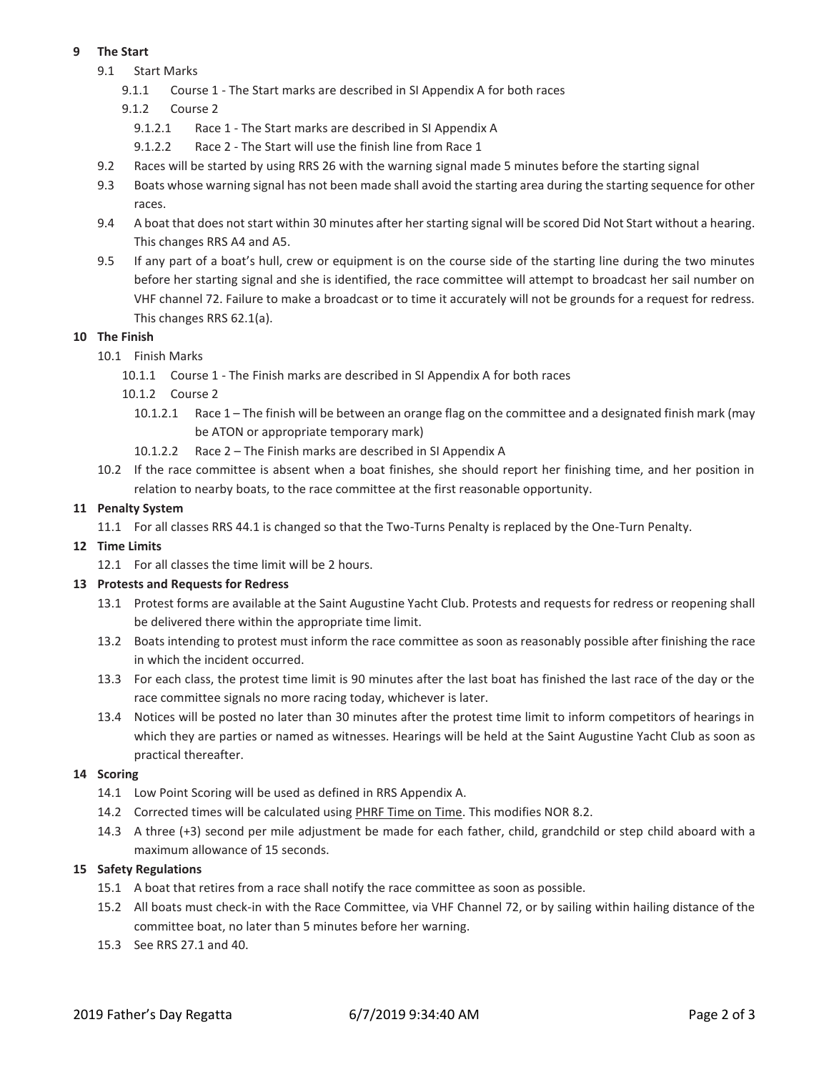# **9 The Start**

- 9.1 Start Marks
	- 9.1.1 Course 1 The Start marks are described in SI Appendix A for both races
	- 9.1.2 Course 2
		- 9.1.2.1 Race 1 The Start marks are described in SI Appendix A
		- 9.1.2.2 Race 2 The Start will use the finish line from Race 1
- 9.2 Races will be started by using RRS 26 with the warning signal made 5 minutes before the starting signal
- 9.3 Boats whose warning signal has not been made shall avoid the starting area during the starting sequence for other races.
- 9.4 A boat that does not start within 30 minutes after her starting signal will be scored Did Not Start without a hearing. This changes RRS A4 and A5.
- 9.5 If any part of a boat's hull, crew or equipment is on the course side of the starting line during the two minutes before her starting signal and she is identified, the race committee will attempt to broadcast her sail number on VHF channel 72. Failure to make a broadcast or to time it accurately will not be grounds for a request for redress. This changes RRS 62.1(a).

## **10 The Finish**

- 10.1 Finish Marks
	- 10.1.1 Course 1 The Finish marks are described in SI Appendix A for both races
	- 10.1.2 Course 2
		- 10.1.2.1 Race 1 The finish will be between an orange flag on the committee and a designated finish mark (may be ATON or appropriate temporary mark)
		- 10.1.2.2 Race 2 The Finish marks are described in SI Appendix A
- 10.2 If the race committee is absent when a boat finishes, she should report her finishing time, and her position in relation to nearby boats, to the race committee at the first reasonable opportunity.

## **11 Penalty System**

11.1 For all classes RRS 44.1 is changed so that the Two-Turns Penalty is replaced by the One-Turn Penalty.

## **12 Time Limits**

12.1 For all classes the time limit will be 2 hours.

## **13 Protests and Requests for Redress**

- 13.1 Protest forms are available at the Saint Augustine Yacht Club. Protests and requests for redress or reopening shall be delivered there within the appropriate time limit.
- 13.2 Boats intending to protest must inform the race committee as soon as reasonably possible after finishing the race in which the incident occurred.
- 13.3 For each class, the protest time limit is 90 minutes after the last boat has finished the last race of the day or the race committee signals no more racing today, whichever is later.
- 13.4 Notices will be posted no later than 30 minutes after the protest time limit to inform competitors of hearings in which they are parties or named as witnesses. Hearings will be held at the Saint Augustine Yacht Club as soon as practical thereafter.

## **14 Scoring**

- 14.1 Low Point Scoring will be used as defined in RRS Appendix A.
- 14.2 Corrected times will be calculated using PHRF Time on Time. This modifies NOR 8.2.
- 14.3 A three (+3) second per mile adjustment be made for each father, child, grandchild or step child aboard with a maximum allowance of 15 seconds.

## **15 Safety Regulations**

- 15.1 A boat that retires from a race shall notify the race committee as soon as possible.
- 15.2 All boats must check-in with the Race Committee, via VHF Channel 72, or by sailing within hailing distance of the committee boat, no later than 5 minutes before her warning.
- 15.3 See RRS 27.1 and 40.